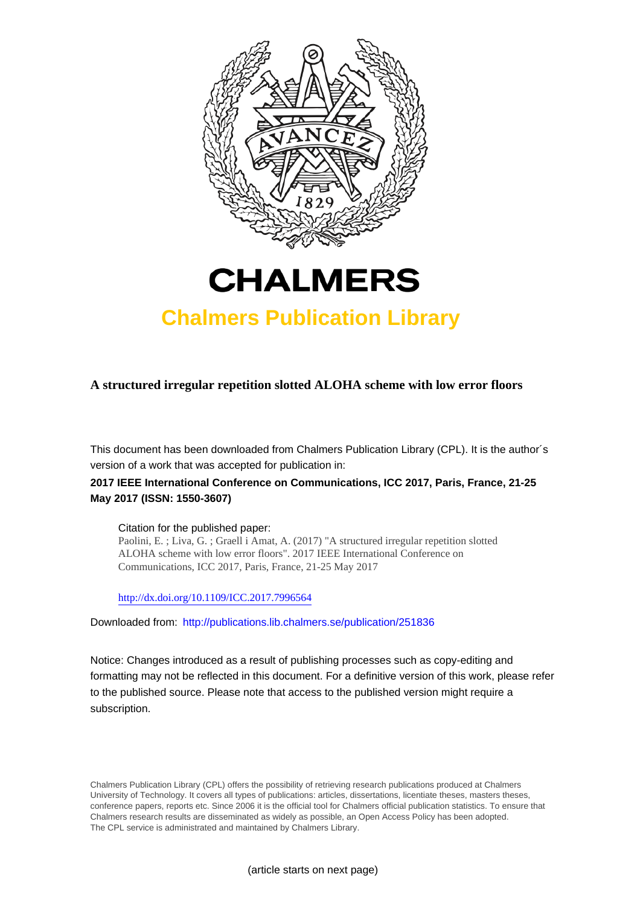



## **Chalmers Publication Library**

**A structured irregular repetition slotted ALOHA scheme with low error floors**

This document has been downloaded from Chalmers Publication Library (CPL). It is the author´s version of a work that was accepted for publication in:

## **2017 IEEE International Conference on Communications, ICC 2017, Paris, France, 21-25 May 2017 (ISSN: 1550-3607)**

Citation for the published paper:

Paolini, E. ; Liva, G. ; Graell i Amat, A. (2017) "A structured irregular repetition slotted ALOHA scheme with low error floors". 2017 IEEE International Conference on Communications, ICC 2017, Paris, France, 21-25 May 2017

<http://dx.doi.org/10.1109/ICC.2017.7996564>

Downloaded from: <http://publications.lib.chalmers.se/publication/251836>

Notice: Changes introduced as a result of publishing processes such as copy-editing and formatting may not be reflected in this document. For a definitive version of this work, please refer to the published source. Please note that access to the published version might require a subscription.

Chalmers Publication Library (CPL) offers the possibility of retrieving research publications produced at Chalmers University of Technology. It covers all types of publications: articles, dissertations, licentiate theses, masters theses, conference papers, reports etc. Since 2006 it is the official tool for Chalmers official publication statistics. To ensure that Chalmers research results are disseminated as widely as possible, an Open Access Policy has been adopted. The CPL service is administrated and maintained by Chalmers Library.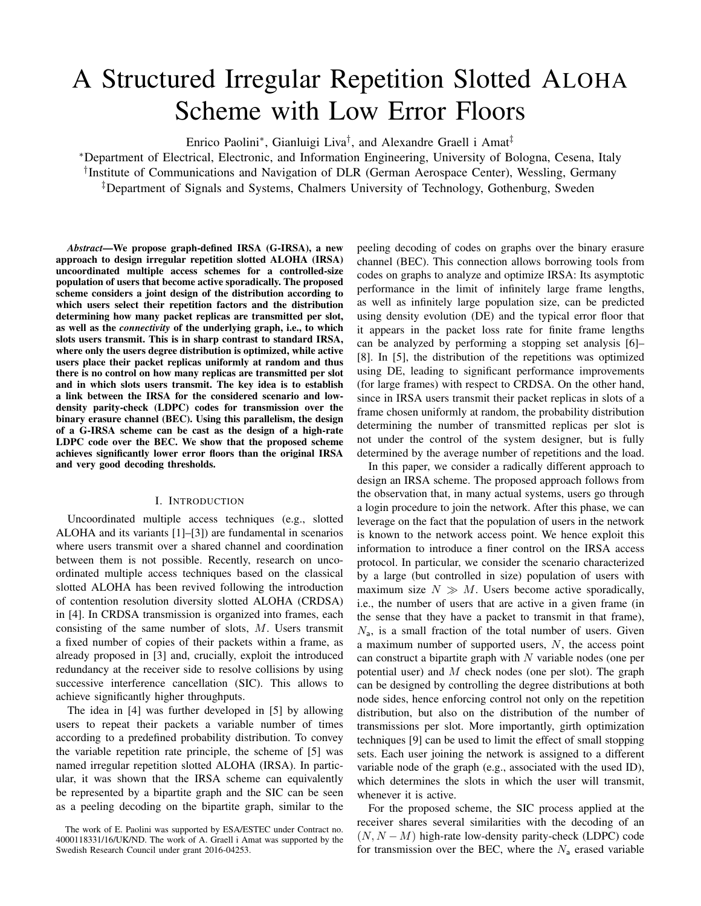# A Structured Irregular Repetition Slotted ALOHA Scheme with Low Error Floors

Enrico Paolini<sup>∗</sup> , Gianluigi Liva† , and Alexandre Graell i Amat‡

<sup>∗</sup>Department of Electrical, Electronic, and Information Engineering, University of Bologna, Cesena, Italy † Institute of Communications and Navigation of DLR (German Aerospace Center), Wessling, Germany ‡Department of Signals and Systems, Chalmers University of Technology, Gothenburg, Sweden

*Abstract*—We propose graph-defined IRSA (G-IRSA), a new approach to design irregular repetition slotted ALOHA (IRSA) uncoordinated multiple access schemes for a controlled-size population of users that become active sporadically. The proposed scheme considers a joint design of the distribution according to which users select their repetition factors and the distribution determining how many packet replicas are transmitted per slot, as well as the *connectivity* of the underlying graph, i.e., to which slots users transmit. This is in sharp contrast to standard IRSA, where only the users degree distribution is optimized, while active users place their packet replicas uniformly at random and thus there is no control on how many replicas are transmitted per slot and in which slots users transmit. The key idea is to establish a link between the IRSA for the considered scenario and lowdensity parity-check (LDPC) codes for transmission over the binary erasure channel (BEC). Using this parallelism, the design of a G-IRSA scheme can be cast as the design of a high-rate LDPC code over the BEC. We show that the proposed scheme achieves significantly lower error floors than the original IRSA and very good decoding thresholds.

## I. INTRODUCTION

Uncoordinated multiple access techniques (e.g., slotted ALOHA and its variants [1]–[3]) are fundamental in scenarios where users transmit over a shared channel and coordination between them is not possible. Recently, research on uncoordinated multiple access techniques based on the classical slotted ALOHA has been revived following the introduction of contention resolution diversity slotted ALOHA (CRDSA) in [4]. In CRDSA transmission is organized into frames, each consisting of the same number of slots, M. Users transmit a fixed number of copies of their packets within a frame, as already proposed in [3] and, crucially, exploit the introduced redundancy at the receiver side to resolve collisions by using successive interference cancellation (SIC). This allows to achieve significantly higher throughputs.

The idea in [4] was further developed in [5] by allowing users to repeat their packets a variable number of times according to a predefined probability distribution. To convey the variable repetition rate principle, the scheme of [5] was named irregular repetition slotted ALOHA (IRSA). In particular, it was shown that the IRSA scheme can equivalently be represented by a bipartite graph and the SIC can be seen as a peeling decoding on the bipartite graph, similar to the peeling decoding of codes on graphs over the binary erasure channel (BEC). This connection allows borrowing tools from codes on graphs to analyze and optimize IRSA: Its asymptotic performance in the limit of infinitely large frame lengths, as well as infinitely large population size, can be predicted using density evolution (DE) and the typical error floor that it appears in the packet loss rate for finite frame lengths can be analyzed by performing a stopping set analysis [6]– [8]. In [5], the distribution of the repetitions was optimized using DE, leading to significant performance improvements (for large frames) with respect to CRDSA. On the other hand, since in IRSA users transmit their packet replicas in slots of a frame chosen uniformly at random, the probability distribution determining the number of transmitted replicas per slot is not under the control of the system designer, but is fully determined by the average number of repetitions and the load.

In this paper, we consider a radically different approach to design an IRSA scheme. The proposed approach follows from the observation that, in many actual systems, users go through a login procedure to join the network. After this phase, we can leverage on the fact that the population of users in the network is known to the network access point. We hence exploit this information to introduce a finer control on the IRSA access protocol. In particular, we consider the scenario characterized by a large (but controlled in size) population of users with maximum size  $N \gg M$ . Users become active sporadically, i.e., the number of users that are active in a given frame (in the sense that they have a packet to transmit in that frame),  $N_a$ , is a small fraction of the total number of users. Given a maximum number of supported users, N, the access point can construct a bipartite graph with  $N$  variable nodes (one per potential user) and  $M$  check nodes (one per slot). The graph can be designed by controlling the degree distributions at both node sides, hence enforcing control not only on the repetition distribution, but also on the distribution of the number of transmissions per slot. More importantly, girth optimization techniques [9] can be used to limit the effect of small stopping sets. Each user joining the network is assigned to a different variable node of the graph (e.g., associated with the used ID), which determines the slots in which the user will transmit, whenever it is active.

For the proposed scheme, the SIC process applied at the receiver shares several similarities with the decoding of an  $(N, N - M)$  high-rate low-density parity-check (LDPC) code for transmission over the BEC, where the  $N_a$  erased variable

The work of E. Paolini was supported by ESA/ESTEC under Contract no. 4000118331/16/UK/ND. The work of A. Graell i Amat was supported by the Swedish Research Council under grant 2016-04253.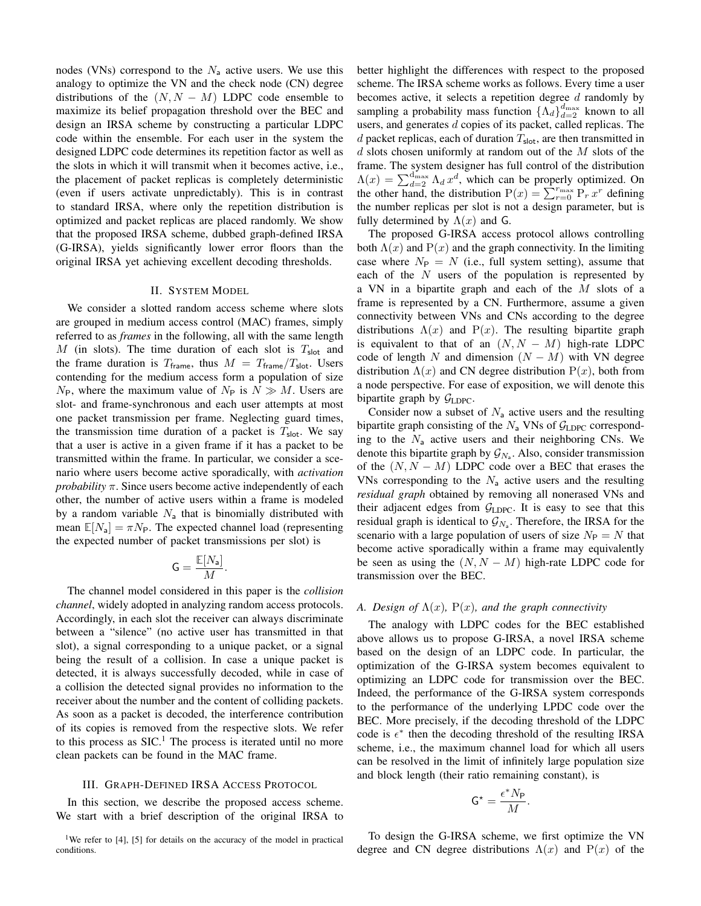nodes (VNs) correspond to the  $N_a$  active users. We use this analogy to optimize the VN and the check node (CN) degree distributions of the  $(N, N - M)$  LDPC code ensemble to maximize its belief propagation threshold over the BEC and design an IRSA scheme by constructing a particular LDPC code within the ensemble. For each user in the system the designed LDPC code determines its repetition factor as well as the slots in which it will transmit when it becomes active, i.e., the placement of packet replicas is completely deterministic (even if users activate unpredictably). This is in contrast to standard IRSA, where only the repetition distribution is optimized and packet replicas are placed randomly. We show that the proposed IRSA scheme, dubbed graph-defined IRSA (G-IRSA), yields significantly lower error floors than the original IRSA yet achieving excellent decoding thresholds.

## II. SYSTEM MODEL

We consider a slotted random access scheme where slots are grouped in medium access control (MAC) frames, simply referred to as *frames* in the following, all with the same length M (in slots). The time duration of each slot is  $T_{slot}$  and the frame duration is  $T_{\text{frame}}$ , thus  $M = T_{\text{frame}}/T_{\text{slot}}$ . Users contending for the medium access form a population of size  $N_P$ , where the maximum value of  $N_P$  is  $N \gg M$ . Users are slot- and frame-synchronous and each user attempts at most one packet transmission per frame. Neglecting guard times, the transmission time duration of a packet is  $T_{slot}$ . We say that a user is active in a given frame if it has a packet to be transmitted within the frame. In particular, we consider a scenario where users become active sporadically, with *activation probability*  $\pi$ . Since users become active independently of each other, the number of active users within a frame is modeled by a random variable  $N_a$  that is binomially distributed with mean  $\mathbb{E}[N_a] = \pi N_P$ . The expected channel load (representing the expected number of packet transmissions per slot) is

$$
\mathsf{G} = \frac{\mathbb{E}[N_{\mathsf{a}}]}{M}.
$$

The channel model considered in this paper is the *collision channel*, widely adopted in analyzing random access protocols. Accordingly, in each slot the receiver can always discriminate between a "silence" (no active user has transmitted in that slot), a signal corresponding to a unique packet, or a signal being the result of a collision. In case a unique packet is detected, it is always successfully decoded, while in case of a collision the detected signal provides no information to the receiver about the number and the content of colliding packets. As soon as a packet is decoded, the interference contribution of its copies is removed from the respective slots. We refer to this process as  $SIC<sup>1</sup>$ . The process is iterated until no more clean packets can be found in the MAC frame.

## III. GRAPH-DEFINED IRSA ACCESS PROTOCOL

In this section, we describe the proposed access scheme. We start with a brief description of the original IRSA to better highlight the differences with respect to the proposed scheme. The IRSA scheme works as follows. Every time a user becomes active, it selects a repetition degree  $d$  randomly by sampling a probability mass function  $\{\Lambda_d\}_{d=2}^{d_{\text{max}}}$  known to all users, and generates d copies of its packet, called replicas. The d packet replicas, each of duration  $T_{\text{slot}}$ , are then transmitted in  $d$  slots chosen uniformly at random out of the  $M$  slots of the frame. The system designer has full control of the distribution  $\Lambda(x) = \sum_{d=2}^{\text{dmax}} \Lambda_d x^d$ , which can be properly optimized. On the other hand, the distribution  $P(x) = \sum_{r=0}^{r_{\text{max}}} P_r x^r$  defining the number replicas per slot is not a design parameter, but is fully determined by  $\Lambda(x)$  and G.

The proposed G-IRSA access protocol allows controlling both  $\Lambda(x)$  and  $P(x)$  and the graph connectivity. In the limiting case where  $N_P = N$  (i.e., full system setting), assume that each of the  $N$  users of the population is represented by a VN in a bipartite graph and each of the M slots of a frame is represented by a CN. Furthermore, assume a given connectivity between VNs and CNs according to the degree distributions  $\Lambda(x)$  and  $P(x)$ . The resulting bipartite graph is equivalent to that of an  $(N, N - M)$  high-rate LDPC code of length N and dimension  $(N - M)$  with VN degree distribution  $\Lambda(x)$  and CN degree distribution  $P(x)$ , both from a node perspective. For ease of exposition, we will denote this bipartite graph by  $G_{LDPC}$ .

Consider now a subset of  $N_a$  active users and the resulting bipartite graph consisting of the  $N_a$  VNs of  $\mathcal{G}_{LDPC}$  corresponding to the  $N_a$  active users and their neighboring CNs. We denote this bipartite graph by  $\mathcal{G}_{N_a}$ . Also, consider transmission of the  $(N, N - M)$  LDPC code over a BEC that erases the VNs corresponding to the  $N_a$  active users and the resulting *residual graph* obtained by removing all nonerased VNs and their adjacent edges from  $G_{LDPC}$ . It is easy to see that this residual graph is identical to  $\mathcal{G}_{N_a}$ . Therefore, the IRSA for the scenario with a large population of users of size  $N_P = N$  that become active sporadically within a frame may equivalently be seen as using the  $(N, N - M)$  high-rate LDPC code for transmission over the BEC.

## *A. Design of* Λ(x)*,* P(x)*, and the graph connectivity*

The analogy with LDPC codes for the BEC established above allows us to propose G-IRSA, a novel IRSA scheme based on the design of an LDPC code. In particular, the optimization of the G-IRSA system becomes equivalent to optimizing an LDPC code for transmission over the BEC. Indeed, the performance of the G-IRSA system corresponds to the performance of the underlying LPDC code over the BEC. More precisely, if the decoding threshold of the LDPC code is  $\epsilon^*$  then the decoding threshold of the resulting IRSA scheme, i.e., the maximum channel load for which all users can be resolved in the limit of infinitely large population size and block length (their ratio remaining constant), is

$$
\mathsf{G}^{\star}=\frac{\epsilon^*N_{\mathsf{P}}}{M}.
$$

To design the G-IRSA scheme, we first optimize the VN degree and CN degree distributions  $\Lambda(x)$  and  $P(x)$  of the

<sup>&</sup>lt;sup>1</sup>We refer to [4], [5] for details on the accuracy of the model in practical conditions.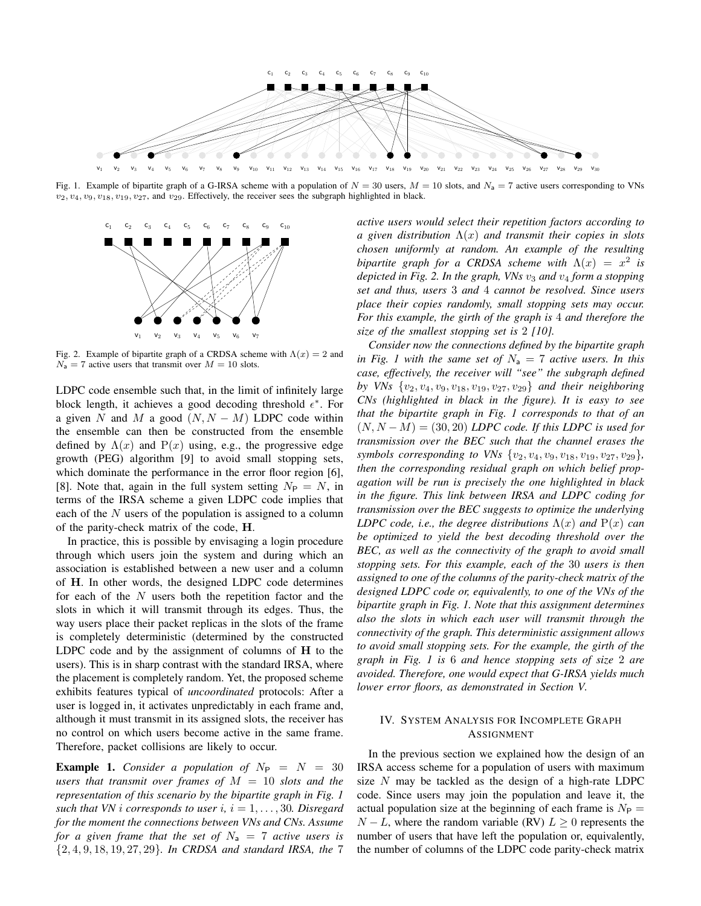

Fig. 1. Example of bipartite graph of a G-IRSA scheme with a population of  $N = 30$  users,  $M = 10$  slots, and  $N_a = 7$  active users corresponding to VNs  $v_2, v_4, v_9, v_{18}, v_{19}, v_{27}$ , and  $v_{29}$ . Effectively, the receiver sees the subgraph highlighted in black.



Fig. 2. Example of bipartite graph of a CRDSA scheme with  $\Lambda(x) = 2$  and  $N_a = 7$  active users that transmit over  $M = 10$  slots.

LDPC code ensemble such that, in the limit of infinitely large block length, it achieves a good decoding threshold  $\epsilon^*$ . For a given N and M a good  $(N, N - M)$  LDPC code within the ensemble can then be constructed from the ensemble defined by  $\Lambda(x)$  and  $P(x)$  using, e.g., the progressive edge growth (PEG) algorithm [9] to avoid small stopping sets, which dominate the performance in the error floor region [6], [8]. Note that, again in the full system setting  $N_P = N$ , in terms of the IRSA scheme a given LDPC code implies that each of the  $N$  users of the population is assigned to a column of the parity-check matrix of the code, H.

In practice, this is possible by envisaging a login procedure through which users join the system and during which an association is established between a new user and a column of H. In other words, the designed LDPC code determines for each of the  $N$  users both the repetition factor and the slots in which it will transmit through its edges. Thus, the way users place their packet replicas in the slots of the frame is completely deterministic (determined by the constructed LDPC code and by the assignment of columns of H to the users). This is in sharp contrast with the standard IRSA, where the placement is completely random. Yet, the proposed scheme exhibits features typical of *uncoordinated* protocols: After a user is logged in, it activates unpredictably in each frame and, although it must transmit in its assigned slots, the receiver has no control on which users become active in the same frame. Therefore, packet collisions are likely to occur.

**Example 1.** *Consider a population of*  $N_P = N = 30$ *users that transmit over frames of* M = 10 *slots and the representation of this scenario by the bipartite graph in Fig. 1 such that VN i corresponds to user*  $i, i = 1, \ldots, 30$ *. Disregard for the moment the connections between VNs and CNs. Assume for a given frame that the set of*  $N_a = 7$  *active users is* {2, 4, 9, 18, 19, 27, 29}*. In CRDSA and standard IRSA, the* 7

*active users would select their repetition factors according to a given distribution* Λ(x) *and transmit their copies in slots chosen uniformly at random. An example of the resulting* bipartite graph for a CRDSA scheme with  $\Lambda(x) = x^2$  is *depicted in Fig. 2. In the graph, VNs*  $v_3$  *and*  $v_4$  *form a stopping set and thus, users* 3 *and* 4 *cannot be resolved. Since users place their copies randomly, small stopping sets may occur. For this example, the girth of the graph is* 4 *and therefore the size of the smallest stopping set is* 2 *[10].*

*Consider now the connections defined by the bipartite graph in Fig. 1 with the same set of*  $N_a = 7$  *active users. In this case, effectively, the receiver will "see" the subgraph defined by VNs*  $\{v_2, v_4, v_9, v_{18}, v_{19}, v_{27}, v_{29}\}$  *and their neighboring CNs (highlighted in black in the figure). It is easy to see that the bipartite graph in Fig. 1 corresponds to that of an*  $(N, N - M) = (30, 20)$  *LDPC code. If this LDPC is used for transmission over the BEC such that the channel erases the symbols corresponding to VNs*  $\{v_2, v_4, v_9, v_{18}, v_{19}, v_{27}, v_{29}\}$ , *then the corresponding residual graph on which belief propagation will be run is precisely the one highlighted in black in the figure. This link between IRSA and LDPC coding for transmission over the BEC suggests to optimize the underlying LDPC code, i.e., the degree distributions*  $\Lambda(x)$  *and*  $P(x)$  *can be optimized to yield the best decoding threshold over the BEC, as well as the connectivity of the graph to avoid small stopping sets. For this example, each of the* 30 *users is then assigned to one of the columns of the parity-check matrix of the designed LDPC code or, equivalently, to one of the VNs of the bipartite graph in Fig. 1. Note that this assignment determines also the slots in which each user will transmit through the connectivity of the graph. This deterministic assignment allows to avoid small stopping sets. For the example, the girth of the graph in Fig. 1 is* 6 *and hence stopping sets of size* 2 *are avoided. Therefore, one would expect that G-IRSA yields much lower error floors, as demonstrated in Section V.*

## IV. SYSTEM ANALYSIS FOR INCOMPLETE GRAPH ASSIGNMENT

In the previous section we explained how the design of an IRSA access scheme for a population of users with maximum size  $N$  may be tackled as the design of a high-rate LDPC code. Since users may join the population and leave it, the actual population size at the beginning of each frame is  $N_P =$  $N - L$ , where the random variable (RV)  $L \geq 0$  represents the number of users that have left the population or, equivalently, the number of columns of the LDPC code parity-check matrix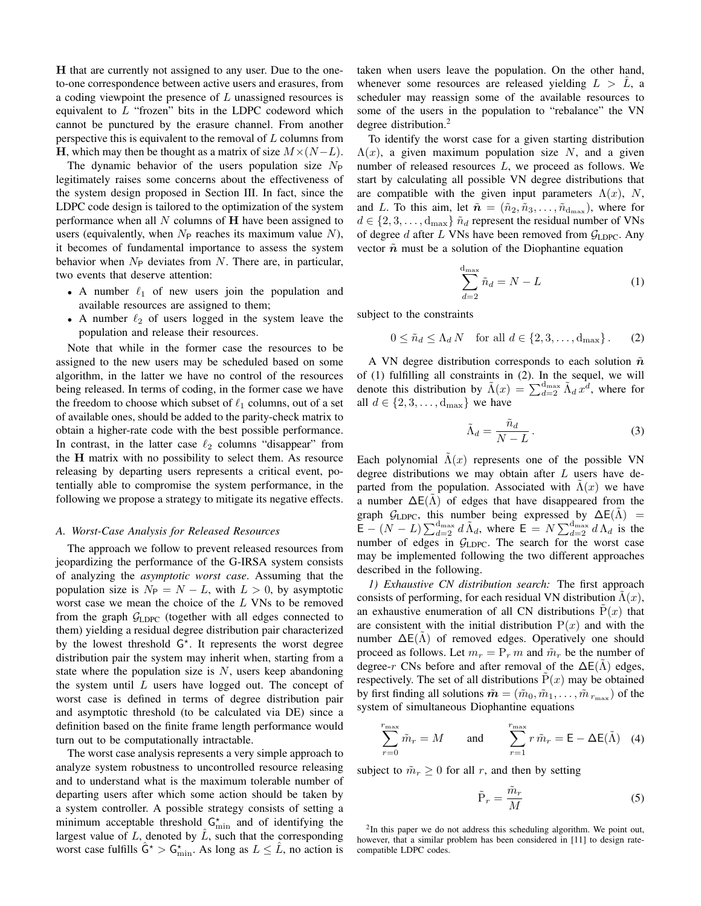H that are currently not assigned to any user. Due to the oneto-one correspondence between active users and erasures, from a coding viewpoint the presence of  $L$  unassigned resources is equivalent to  $L$  "frozen" bits in the LDPC codeword which cannot be punctured by the erasure channel. From another perspective this is equivalent to the removal of L columns from H, which may then be thought as a matrix of size  $M \times (N-L)$ .

The dynamic behavior of the users population size  $N_P$ legitimately raises some concerns about the effectiveness of the system design proposed in Section III. In fact, since the LDPC code design is tailored to the optimization of the system performance when all  $N$  columns of  $H$  have been assigned to users (equivalently, when  $N_P$  reaches its maximum value N), it becomes of fundamental importance to assess the system behavior when  $N_P$  deviates from N. There are, in particular, two events that deserve attention:

- A number  $\ell_1$  of new users join the population and available resources are assigned to them;
- A number  $\ell_2$  of users logged in the system leave the population and release their resources.

Note that while in the former case the resources to be assigned to the new users may be scheduled based on some algorithm, in the latter we have no control of the resources being released. In terms of coding, in the former case we have the freedom to choose which subset of  $\ell_1$  columns, out of a set of available ones, should be added to the parity-check matrix to obtain a higher-rate code with the best possible performance. In contrast, in the latter case  $\ell_2$  columns "disappear" from the H matrix with no possibility to select them. As resource releasing by departing users represents a critical event, potentially able to compromise the system performance, in the following we propose a strategy to mitigate its negative effects.

#### *A. Worst-Case Analysis for Released Resources*

The approach we follow to prevent released resources from jeopardizing the performance of the G-IRSA system consists of analyzing the *asymptotic worst case*. Assuming that the population size is  $N_P = N - L$ , with  $L > 0$ , by asymptotic worst case we mean the choice of the L VNs to be removed from the graph  $G_{LDPC}$  (together with all edges connected to them) yielding a residual degree distribution pair characterized by the lowest threshold  $G^*$ . It represents the worst degree distribution pair the system may inherit when, starting from a state where the population size is  $N$ , users keep abandoning the system until  $L$  users have logged out. The concept of worst case is defined in terms of degree distribution pair and asymptotic threshold (to be calculated via DE) since a definition based on the finite frame length performance would turn out to be computationally intractable.

The worst case analysis represents a very simple approach to analyze system robustness to uncontrolled resource releasing and to understand what is the maximum tolerable number of departing users after which some action should be taken by a system controller. A possible strategy consists of setting a minimum acceptable threshold  $G_{\min}^*$  and of identifying the largest value of L, denoted by  $\hat{L}$ , such that the corresponding worst case fulfills  $\hat{G}^* > G_{\min}^*$ . As long as  $L \leq \hat{L}$ , no action is taken when users leave the population. On the other hand, whenever some resources are released yielding  $L > L$ , a scheduler may reassign some of the available resources to some of the users in the population to "rebalance" the VN degree distribution.<sup>2</sup>

To identify the worst case for a given starting distribution  $\Lambda(x)$ , a given maximum population size N, and a given number of released resources L, we proceed as follows. We start by calculating all possible VN degree distributions that are compatible with the given input parameters  $\Lambda(x)$ , N, and L. To this aim, let  $\tilde{\boldsymbol{n}} = (\tilde{n}_2, \tilde{n}_3, \dots, \tilde{n}_{d_{\text{max}}})$ , where for  $d \in \{2, 3, \ldots, d_{\text{max}}\}\tilde{n}_d$  represent the residual number of VNs of degree d after L VNs have been removed from  $\mathcal{G}_{\text{LDPC}}$ . Any vector  $\tilde{n}$  must be a solution of the Diophantine equation

$$
\sum_{d=2}^{\text{d}_{\text{max}}} \tilde{n}_d = N - L \tag{1}
$$

subject to the constraints

$$
0 \leq \tilde{n}_d \leq \Lambda_d N \quad \text{for all } d \in \{2, 3, \dots, d_{\text{max}}\}.
$$
 (2)

A VN degree distribution corresponds to each solution  $\tilde{n}$ of (1) fulfilling all constraints in (2). In the sequel, we will denote this distribution by  $\tilde{\Lambda}(x) = \sum_{d=2}^{\text{d}_{\text{max}}} \tilde{\Lambda}_d x^d$ , where for all  $d \in \{2, 3, \ldots, d_{\text{max}}\}$  we have

$$
\tilde{\Lambda}_d = \frac{\tilde{n}_d}{N - L} \,. \tag{3}
$$

Each polynomial  $\tilde{\Lambda}(x)$  represents one of the possible VN degree distributions we may obtain after L users have departed from the population. Associated with  $\Lambda(x)$  we have a number  $\Delta E(\Lambda)$  of edges that have disappeared from the graph  $G_{LDPC}$ , this number being expressed by  $\Delta E(\tilde{\Lambda})$  =  $\mathsf{E} - (N - L) \sum_{d=2}^{\text{dmax}} d \tilde{\Lambda}_d$ , where  $\mathsf{E} = N \sum_{d=2}^{\text{dmax}} d \Lambda_d$  is the number of edges in  $G_{LDPC}$ . The search for the worst case may be implemented following the two different approaches described in the following.

*1) Exhaustive CN distribution search:* The first approach consists of performing, for each residual VN distribution  $\Lambda(x)$ , an exhaustive enumeration of all CN distributions  $P(x)$  that are consistent with the initial distribution  $P(x)$  and with the number  $\Delta E(\Lambda)$  of removed edges. Operatively one should proceed as follows. Let  $m_r = P_r m$  and  $\tilde{m}_r$  be the number of degree-r CNs before and after removal of the  $\Delta E(\Lambda)$  edges, respectively. The set of all distributions  $\tilde{P}(x)$  may be obtained by first finding all solutions  $\tilde{\boldsymbol{m}} = (\tilde{m}_0, \tilde{m}_1, \dots, \tilde{m}_{r_{\text{max}}})$  of the system of simultaneous Diophantine equations

$$
\sum_{r=0}^{r_{\text{max}}} \tilde{m}_r = M \quad \text{and} \quad \sum_{r=1}^{r_{\text{max}}} r \tilde{m}_r = \mathsf{E} - \Delta \mathsf{E}(\tilde{\Lambda}) \quad (4)
$$

subject to  $\tilde{m}_r \geq 0$  for all r, and then by setting

$$
\tilde{\mathbf{P}}_r = \frac{\tilde{m}_r}{M} \tag{5}
$$

<sup>2</sup>In this paper we do not address this scheduling algorithm. We point out, however, that a similar problem has been considered in [11] to design ratecompatible LDPC codes.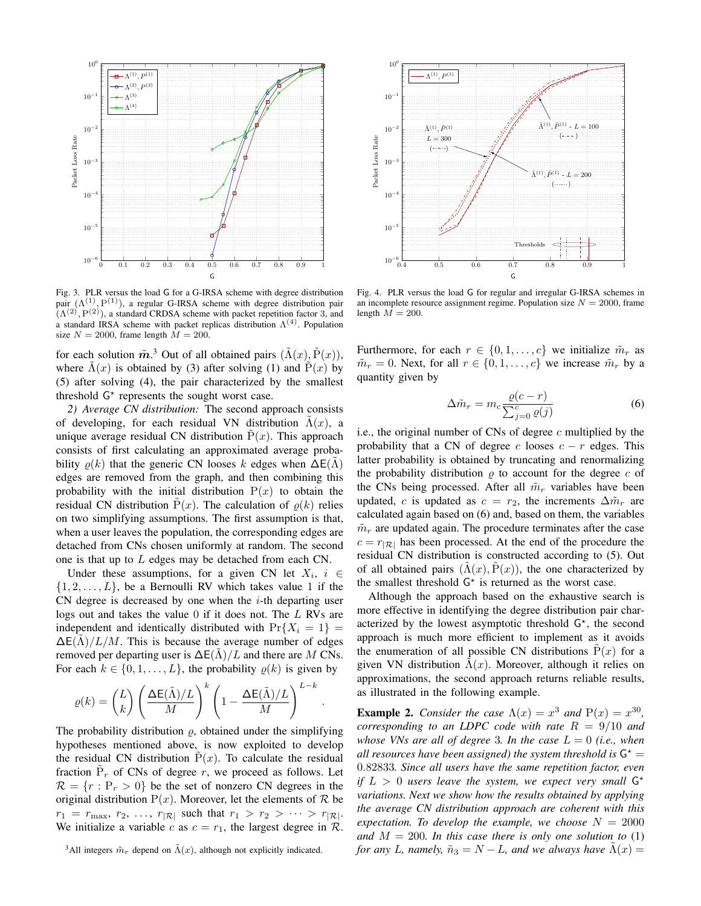

pair  $(\Lambda^{(1)}, P^{(1)})$ , a regular G-IRSA scheme with degree distribution pair Fig. 3. PLR versus the load G for a G-IRSA scheme with degree distribution  $(\Lambda^{(2)}, P^{(2)})$ , a standard CRDSA scheme with packet repetition factor 3, and a standard IRSA scheme with packet replicas distribution  $\Lambda^{(4)}$ . Population size  $N = 2000$ , frame length  $\overline{M} = 200$ .

for each solution  $\tilde{m}$ .<sup>3</sup> Out of all obtained pairs  $(\tilde{\Lambda}(x), \tilde{P}(x))$ , where  $\Lambda(x)$  is obtained by (3) after solving (1) and  $P(x)$  by (5) after solving (4), the pair characterized by the smallest threshold  $G^*$  represents the sought worst case.

*2) Average CN distribution:* The second approach consists of developing, for each residual VN distribution  $\Lambda(x)$ , a unique average residual CN distribution  $\tilde{P}(x)$ . This approach consists of first calculating an approximated average probability  $\rho(k)$  that the generic CN looses k edges when  $\Delta E(\Lambda)$ edges are removed from the graph, and then combining this probability with the initial distribution  $P(x)$  to obtain the residual CN distribution  $P(x)$ . The calculation of  $\rho(k)$  relies on two simplifying assumptions. The first assumption is that, when a user leaves the population, the corresponding edges are detached from CNs chosen uniformly at random. The second one is that up to L edges may be detached from each CN.

Under these assumptions, for a given CN let  $X_i$ ,  $i \in$  $\{1, 2, \ldots, L\}$ , be a Bernoulli RV which takes value 1 if the CN degree is decreased by one when the  $i$ -th departing user logs out and takes the value 0 if it does not. The L RVs are independent and identically distributed with  $Pr{X_i = 1}$  =  $\Delta E(\Lambda)/L/M$ . This is because the average number of edges removed per departing user is  $\Delta E(\Lambda)/L$  and there are M CNs. For each  $k \in \{0, 1, \ldots, L\}$ , the probability  $\rho(k)$  is given by

$$
\varrho(k) = {L \choose k} \left( \frac{\Delta E(\tilde{\Lambda})/L}{M} \right)^k \left( 1 - \frac{\Delta E(\tilde{\Lambda})/L}{M} \right)^{L-k}
$$

.

The probability distribution  $\rho$ , obtained under the simplifying hypotheses mentioned above, is now exploited to develop the residual CN distribution  $P(x)$ . To calculate the residual fraction  $\tilde{P}_r$  of CNs of degree r, we proceed as follows. Let  $\mathcal{R} = \{r : P_r > 0\}$  be the set of nonzero CN degrees in the original distribution  $P(x)$ . Moreover, let the elements of  $\mathcal R$  be  $r_1 = r_{\text{max}}, r_2, \ldots, r_{|\mathcal{R}|}$  such that  $r_1 > r_2 > \cdots > r_{|\mathcal{R}|}$ . We initialize a variable c as  $c = r_1$ , the largest degree in  $\mathcal{R}$ .

<sup>3</sup>All integers  $\tilde{m}_r$  depend on  $\tilde{\Lambda}(x)$ , although not explicitly indicated.



an incomplete resource assignment regime. Population size  $N = 2000$ , frame Fig. 4. PLR versus the load G for regular and irregular G-IRSA schemes in length  $M = 200$ .

Furthermore, for each  $r \in \{0, 1, \ldots, c\}$  we initialize  $\tilde{m}_r$  as  $\tilde{m}_r = 0$ . Next, for all  $r \in \{0, 1, \ldots, c\}$  we increase  $\tilde{m}_r$  by a quantity given by

$$
\Delta \tilde{m}_r = m_c \frac{\varrho(c-r)}{\sum_{j=0}^c \varrho(j)}\tag{6}
$$

i.e., the original number of CNs of degree  $c$  multiplied by the probability that a CN of degree c looses  $c - r$  edges. This latter probability is obtained by truncating and renormalizing the probability distribution  $\rho$  to account for the degree c of the CNs being processed. After all  $\tilde{m}_r$  variables have been updated, c is updated as  $c = r_2$ , the increments  $\Delta \tilde{m}_r$  are calculated again based on (6) and, based on them, the variables  $\tilde{m}_r$  are updated again. The procedure terminates after the case  $c = r_{\mathcal{R}}$  has been processed. At the end of the procedure the residual CN distribution is constructed according to (5). Out of all obtained pairs  $(\Lambda(x), P(x))$ , the one characterized by the smallest threshold  $G^*$  is returned as the worst case.

Although the approach based on the exhaustive search is more effective in identifying the degree distribution pair characterized by the lowest asymptotic threshold  $G^*$ , the second approach is much more efficient to implement as it avoids the enumeration of all possible CN distributions  $P(x)$  for a given VN distribution  $\Lambda(x)$ . Moreover, although it relies on approximations, the second approach returns reliable results, as illustrated in the following example.

**Example 2.** Consider the case  $\Lambda(x) = x^3$  and  $P(x) = x^{30}$ , *corresponding to an LDPC code with rate*  $R = 9/10$  *and whose VNs are all of degree* 3*. In the case*  $L = 0$  *(i.e., when* all resources have been assigned) the system threshold is  $G^* =$ 0.82833*. Since all users have the same repetition factor, even if*  $L > 0$  *users leave the system, we expect very small*  $G^*$ *variations. Next we show how the results obtained by applying the average CN distribution approach are coherent with this expectation. To develop the example, we choose*  $N = 2000$ and  $M = 200$ . In this case there is only one solution to  $(1)$ *for any L, namely,*  $\tilde{n}_3 = N - L$ *, and we always have*  $\tilde{\Lambda}(x) =$